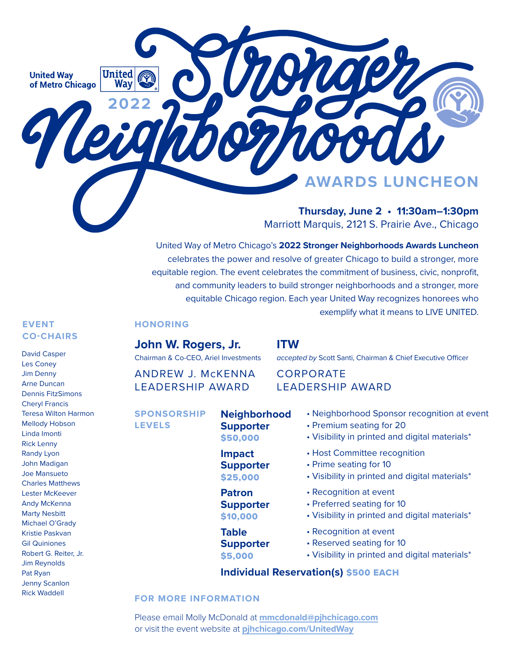**United Wav** of Metro Chicago

**2022**

**United** 

wav

**Thursday, June 2 • 11:30am–1:30pm**

**RDS LUNCHEON** 

Marriott Marquis, 2121 S. Prairie Ave., Chicago

United Way of Metro Chicago's **2022 Stronger Neighborhoods Awards Luncheon**  celebrates the power and resolve of greater Chicago to build a stronger, more equitable region. The event celebrates the commitment of business, civic, nonprofit, and community leaders to build stronger neighborhoods and a stronger, more equitable Chicago region. Each year United Way recognizes honorees who exemplify what it means to LIVE UNITED.

**ITW** 

### **EVENT CO-CHAIRS**

David Casper Les Coney Jim Denny Arne Duncan Dennis FitzSimons Cheryl Francis Teresa Wilton Harmon Mellody Hobson Linda Imonti Rick Lenny Randy Lyon John Madigan Joe Mansueto Charles Matthews Lester McKeever Andy McKenna Marty Nesbitt Michael O'Grady Kristie Paskvan Gil Quiniones Robert G. Reiter, Jr. Jim Reynolds Pat Ryan Jenny Scanlon Rick Waddell

### **HONORING**

**John W. Rogers, Jr.**

Chairman & Co-CEO, Ariel Investments

ANDREW J. McKENNA LEADERSHIP AWARD

**SPONSORSHIP LEVELS**

**Neighborhood Supporter** \$50,000

**Impact Supporter** \$25,000

**Patron Supporter** \$10,000

**Table Supporter** \$5,000

CORPORATE

# LEADERSHIP AWARD

- Neighborhood Sponsor recognition at event
- Premium seating for 20
- Visibility in printed and digital materials\*
- Host Committee recognition

*accepted by* Scott Santi, Chairman & Chief Executive Officer

- Prime seating for 10
- Visibility in printed and digital materials\*
- Recognition at event
- Preferred seating for 10
- Visibility in printed and digital materials\*
- Recognition at event
- Reserved seating for 10
- Visibility in printed and digital materials\*

## **Individual Reservation(s)** \$500 EACH

### **FOR MORE INFORMATION**

Please email Molly McDonald at **[mmcdonald@pjhchicago.com](mailto:mmcdonald%40pjhchicago.com?subject=RE%3A%202022%20United%20Way%20SNAL%20Sponsorship)** or visit the event website at **pjhchicago.com/UnitedWay**